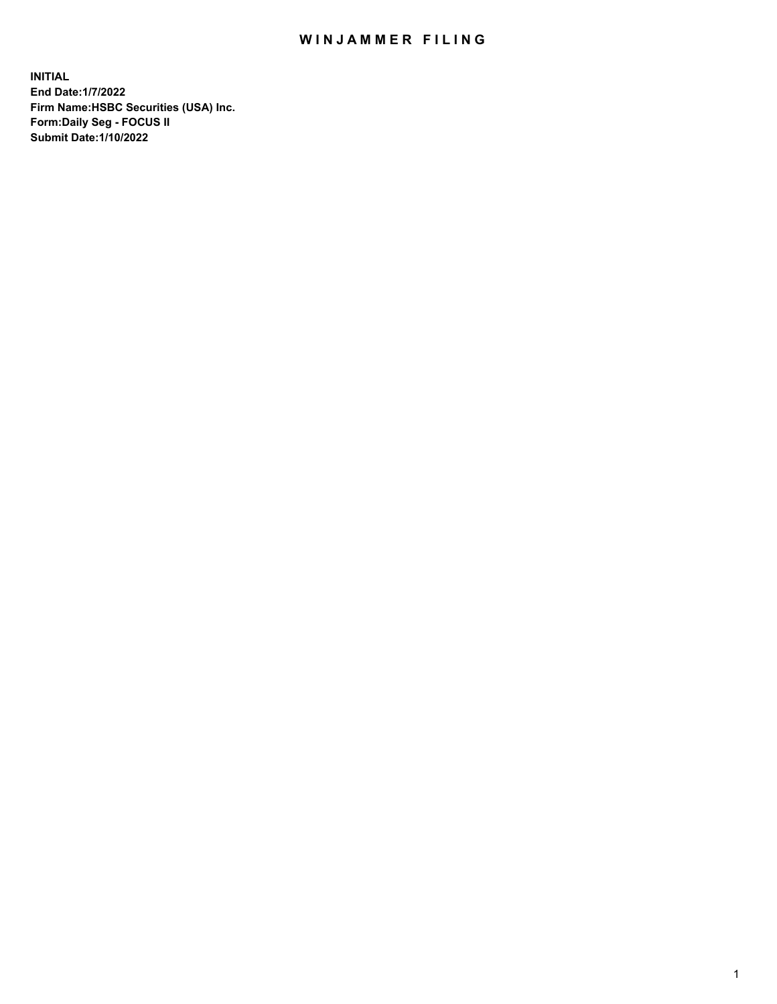## WIN JAMMER FILING

**INITIAL End Date:1/7/2022 Firm Name:HSBC Securities (USA) Inc. Form:Daily Seg - FOCUS II Submit Date:1/10/2022**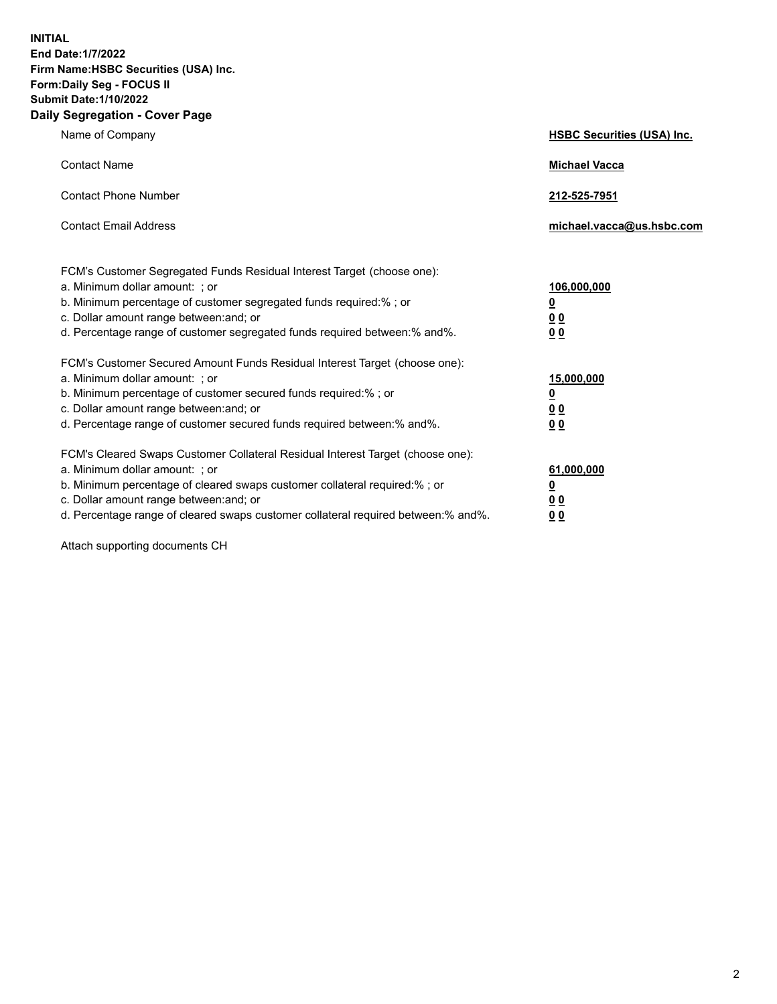**INITIAL End Date:1/7/2022 Firm Name:HSBC Securities (USA) Inc. Form:Daily Seg - FOCUS II Submit Date:1/10/2022 Daily Segregation - Cover Page**

| Name of Company                                                                                                                                                                                                                                                                                                                | <b>HSBC Securities (USA) Inc.</b>                               |
|--------------------------------------------------------------------------------------------------------------------------------------------------------------------------------------------------------------------------------------------------------------------------------------------------------------------------------|-----------------------------------------------------------------|
| <b>Contact Name</b>                                                                                                                                                                                                                                                                                                            | <b>Michael Vacca</b>                                            |
| <b>Contact Phone Number</b>                                                                                                                                                                                                                                                                                                    | 212-525-7951                                                    |
| <b>Contact Email Address</b>                                                                                                                                                                                                                                                                                                   | michael.vacca@us.hsbc.com                                       |
| FCM's Customer Segregated Funds Residual Interest Target (choose one):<br>a. Minimum dollar amount: ; or<br>b. Minimum percentage of customer segregated funds required:%; or<br>c. Dollar amount range between: and; or<br>d. Percentage range of customer segregated funds required between: % and %.                        | 106,000,000<br>$\underline{\mathbf{0}}$<br>0 <sub>0</sub><br>00 |
| FCM's Customer Secured Amount Funds Residual Interest Target (choose one):<br>a. Minimum dollar amount: ; or<br>b. Minimum percentage of customer secured funds required:% ; or<br>c. Dollar amount range between: and; or<br>d. Percentage range of customer secured funds required between:% and%.                           | 15,000,000<br><u>0</u><br>0 <sub>0</sub><br>0 <sub>0</sub>      |
| FCM's Cleared Swaps Customer Collateral Residual Interest Target (choose one):<br>a. Minimum dollar amount: ; or<br>b. Minimum percentage of cleared swaps customer collateral required:% ; or<br>c. Dollar amount range between: and; or<br>d. Percentage range of cleared swaps customer collateral required between:% and%. | 61,000,000<br><u>0</u><br>00<br>00                              |

Attach supporting documents CH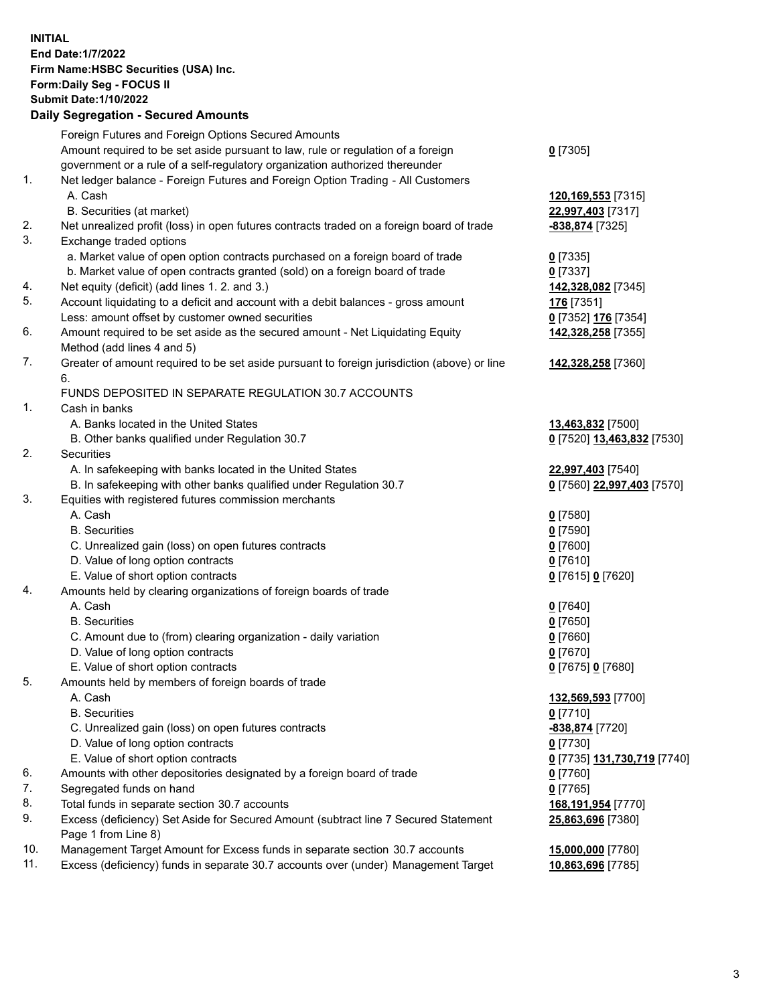**INITIAL End Date:1/7/2022 Firm Name:HSBC Securities (USA) Inc. Form:Daily Seg - FOCUS II Submit Date:1/10/2022 Daily Segregation - Secured Amounts**

## Foreign Futures and Foreign Options Secured Amounts Amount required to be set aside pursuant to law, rule or regulation of a foreign government or a rule of a self-regulatory organization authorized thereunder **0** [7305] 1. Net ledger balance - Foreign Futures and Foreign Option Trading - All Customers A. Cash **120,169,553** [7315] B. Securities (at market) **22,997,403** [7317] 2. Net unrealized profit (loss) in open futures contracts traded on a foreign board of trade **-838,874** [7325] 3. Exchange traded options a. Market value of open option contracts purchased on a foreign board of trade **0** [7335] b. Market value of open contracts granted (sold) on a foreign board of trade **0** [7337] 4. Net equity (deficit) (add lines 1. 2. and 3.) **142,328,082** [7345] 5. Account liquidating to a deficit and account with a debit balances - gross amount **176** [7351] Less: amount offset by customer owned securities **0** [7352] **176** [7354] 6. Amount required to be set aside as the secured amount - Net Liquidating Equity Method (add lines 4 and 5) **142,328,258** [7355] 7. Greater of amount required to be set aside pursuant to foreign jurisdiction (above) or line 6. **142,328,258** [7360] FUNDS DEPOSITED IN SEPARATE REGULATION 30.7 ACCOUNTS 1. Cash in banks A. Banks located in the United States **13,463,832** [7500] B. Other banks qualified under Regulation 30.7 **0** [7520] **13,463,832** [7530] 2. Securities A. In safekeeping with banks located in the United States **22,997,403** [7540] B. In safekeeping with other banks qualified under Regulation 30.7 **0** [7560] **22,997,403** [7570] 3. Equities with registered futures commission merchants A. Cash **0** [7580] B. Securities **0** [7590] C. Unrealized gain (loss) on open futures contracts **0** [7600] D. Value of long option contracts **0** [7610] E. Value of short option contracts **0** [7615] **0** [7620] 4. Amounts held by clearing organizations of foreign boards of trade A. Cash **0** [7640] B. Securities **0** [7650] C. Amount due to (from) clearing organization - daily variation **0** [7660] D. Value of long option contracts **0** [7670] E. Value of short option contracts **0** [7675] **0** [7680] 5. Amounts held by members of foreign boards of trade A. Cash **132,569,593** [7700] B. Securities **0** [7710] C. Unrealized gain (loss) on open futures contracts **-838,874** [7720] D. Value of long option contracts **0** [7730] E. Value of short option contracts **0** [7735] **131,730,719** [7740] 6. Amounts with other depositories designated by a foreign board of trade **0** [7760] 7. Segregated funds on hand **0** [7765] 8. Total funds in separate section 30.7 accounts **168,191,954** [7770] 9. Excess (deficiency) Set Aside for Secured Amount (subtract line 7 Secured Statement Page 1 from Line 8) **25,863,696** [7380] 10. Management Target Amount for Excess funds in separate section 30.7 accounts **15,000,000** [7780] 11. Excess (deficiency) funds in separate 30.7 accounts over (under) Management Target **10,863,696** [7785]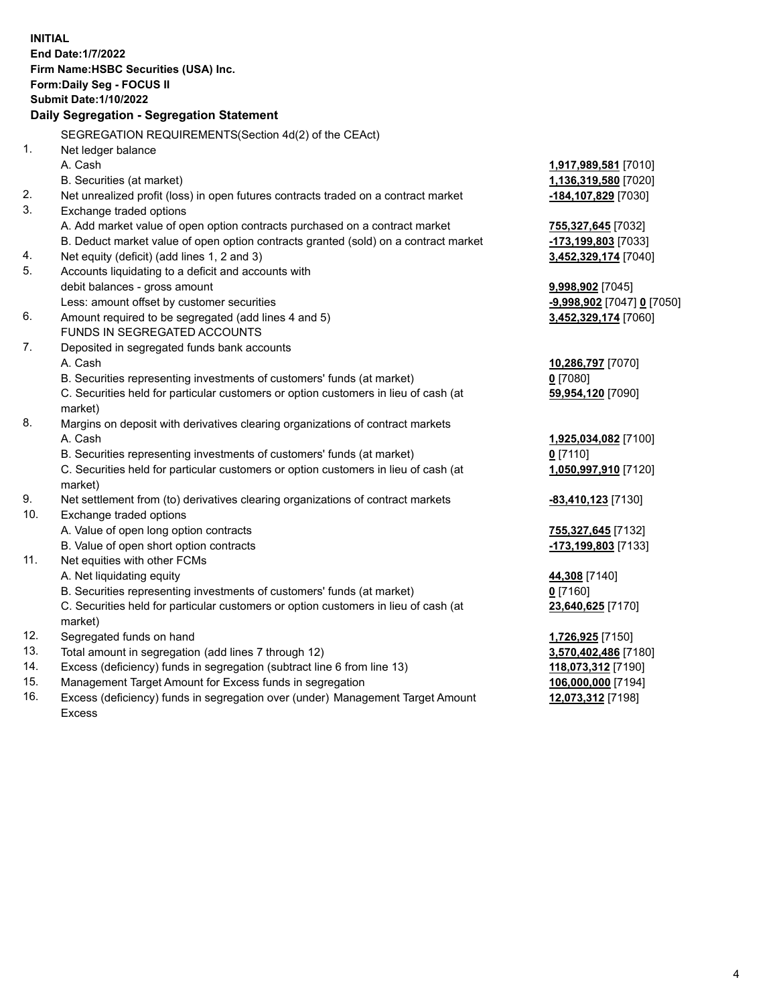|     | <b>INITIAL</b><br>End Date: 1/7/2022<br>Firm Name: HSBC Securities (USA) Inc.<br>Form: Daily Seg - FOCUS II<br><b>Submit Date: 1/10/2022</b><br>Daily Segregation - Segregation Statement |                                                    |
|-----|-------------------------------------------------------------------------------------------------------------------------------------------------------------------------------------------|----------------------------------------------------|
|     |                                                                                                                                                                                           |                                                    |
| 1.  | SEGREGATION REQUIREMENTS(Section 4d(2) of the CEAct)                                                                                                                                      |                                                    |
|     | Net ledger balance<br>A. Cash                                                                                                                                                             |                                                    |
|     |                                                                                                                                                                                           | 1,917,989,581 [7010]                               |
| 2.  | B. Securities (at market)                                                                                                                                                                 | 1,136,319,580 [7020]                               |
| 3.  | Net unrealized profit (loss) in open futures contracts traded on a contract market                                                                                                        | -184,107,829 [7030]                                |
|     | Exchange traded options                                                                                                                                                                   |                                                    |
|     | A. Add market value of open option contracts purchased on a contract market                                                                                                               | 755,327,645 [7032]                                 |
| 4.  | B. Deduct market value of open option contracts granted (sold) on a contract market                                                                                                       | <u>-173,199,803</u> [7033]<br>3,452,329,174 [7040] |
| 5.  | Net equity (deficit) (add lines 1, 2 and 3)<br>Accounts liquidating to a deficit and accounts with                                                                                        |                                                    |
|     | debit balances - gross amount                                                                                                                                                             | <b>9,998,902</b> [7045]                            |
|     | Less: amount offset by customer securities                                                                                                                                                | <u>-9,998,902</u> [7047] <u>0</u> [7050]           |
| 6.  | Amount required to be segregated (add lines 4 and 5)                                                                                                                                      | 3,452,329,174 [7060]                               |
|     | <b>FUNDS IN SEGREGATED ACCOUNTS</b>                                                                                                                                                       |                                                    |
| 7.  | Deposited in segregated funds bank accounts                                                                                                                                               |                                                    |
|     | A. Cash                                                                                                                                                                                   | 10,286,797 [7070]                                  |
|     | B. Securities representing investments of customers' funds (at market)                                                                                                                    | $0$ [7080]                                         |
|     | C. Securities held for particular customers or option customers in lieu of cash (at                                                                                                       | 59,954,120 [7090]                                  |
|     | market)                                                                                                                                                                                   |                                                    |
| 8.  | Margins on deposit with derivatives clearing organizations of contract markets                                                                                                            |                                                    |
|     | A. Cash                                                                                                                                                                                   | 1,925,034,082 [7100]                               |
|     | B. Securities representing investments of customers' funds (at market)                                                                                                                    | 0 <sup>[7110]</sup>                                |
|     | C. Securities held for particular customers or option customers in lieu of cash (at                                                                                                       | 1,050,997,910 [7120]                               |
|     | market)                                                                                                                                                                                   |                                                    |
| 9.  | Net settlement from (to) derivatives clearing organizations of contract markets                                                                                                           | <u>-83,410,123</u> [7130]                          |
| 10. | Exchange traded options                                                                                                                                                                   |                                                    |
|     | A. Value of open long option contracts                                                                                                                                                    | <u>755,327,645</u> [7132]                          |
|     | B. Value of open short option contracts                                                                                                                                                   | -173,199,803 [7133]                                |
| 11. | Net equities with other FCMs                                                                                                                                                              |                                                    |
|     | A. Net liquidating equity                                                                                                                                                                 | 44,308 [7140]                                      |
|     | B. Securities representing investments of customers' funds (at market)                                                                                                                    | $0$ [7160]                                         |
|     | C. Securities held for particular customers or option customers in lieu of cash (at                                                                                                       | 23,640,625 [7170]                                  |
|     | market)                                                                                                                                                                                   |                                                    |
| 12. | Segregated funds on hand                                                                                                                                                                  | 1,726,925 [7150]                                   |
| 13. | Total amount in segregation (add lines 7 through 12)                                                                                                                                      | 3,570,402,486 [7180]                               |
| 14. | Excess (deficiency) funds in segregation (subtract line 6 from line 13)                                                                                                                   | 118,073,312 [7190]                                 |
| 15. | Management Target Amount for Excess funds in segregation                                                                                                                                  | 106,000,000 [7194]                                 |

16. Excess (deficiency) funds in segregation over (under) Management Target Amount Excess

**12,073,312** [7198]